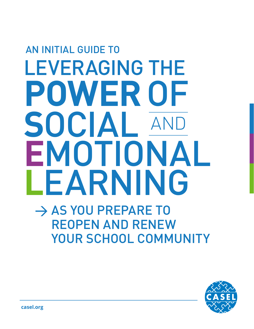# AN INITIAL GUIDE TO LEVERAGING THE **POWER** OF **<sup>S</sup>**OCIAL **E**MOTIONAL **L**EARNING  $\rightarrow$  AS YOU PREPARE TO REOPEN AND RENEW YOUR SCHOOL COMMUNITY SOCIAL AND

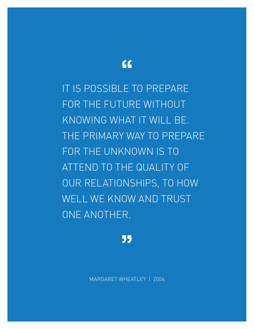## $\epsilon$

IT IS POSSIBLE TO PREPARE FOR THE FUTURE WITHOUT KNOWING WHAT IT WILL BE. THE PRIMARY WAY TO PREPARE FOR THE UNKNOWN IS TO ATTEND TO THE QUALITY OF OUR RELATIONSHIPS, TO HOW WELL WE KNOW AND TRUST ONE ANOTHER.

"

MARGARET WHEATLEY | 2004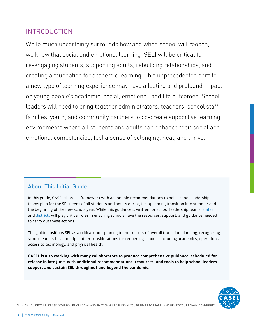## INTRODUCTION

While much uncertainty surrounds how and when school will reopen, we know that social and emotional learning (SEL) will be critical to re-engaging students, supporting adults, rebuilding relationships, and creating a foundation for academic learning. This unprecedented shift to a new type of learning experience may have a lasting and profound impact on young people's academic, social, emotional, and life outcomes. School leaders will need to bring together administrators, teachers, school staff, families, youth, and community partners to co-create supportive learning environments where all students and adults can enhance their social and emotional competencies, feel a sense of belonging, heal, and thrive.

## About This Initial Guide

In this guide, CASEL shares a framework with actionable recommendations to help school leadership teams plan for the SEL needs of all students and adults during the upcoming transition into summer and the beginning of the new school year. While this guidance is written for school leadership teams, [states](https://ccsso.org/blog/ccsso-releases-framework-assist-state-education-leaders-planning-restart-schools) and [districts](https://connect.aasa.org/communities/community-home?CommunityKey=77b6b3e9-aa56-43d2-bbe3-df27ff284713) will play critical roles in ensuring schools have the resources, support, and guidance needed to carry out these actions.

This guide positions SEL as a critical underpinning to the success of overall transition planning, recognizing school leaders have multiple other considerations for reopening schools, including academics, operations, access to technology, and physical health.

**CASEL is also working with many collaborators to produce comprehensive guidance, scheduled for release in late June, with additional recommendations, resources, and tools to help school leaders support and sustain SEL throughout and beyond the pandemic.**

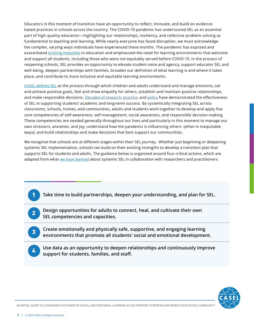Educators in this moment of transition have an opportunity to reflect, innovate, and build on evidencebased practices in schools across the country. The COVID-19 pandemic has underscored SEL as an essential part of high-quality education—highlighting our relationships, resiliency, and collective problem-solving as fundamental to teaching and learning. While nearly everyone has faced disruption, we must acknowledge the complex, varying ways individuals have experienced these months. The pandemic has exposed and exacerbated [existing inequities](https://www.edweek.org/ew/articles/2020/03/27/covid-19-is-exposing-the-gaps-in-our.html) in education and emphasized the need for learning environments that welcome and support all students, including those who were not equitably served before COVID-19. In the process of reopening schools, SEL provides an opportunity to elevate student voice and agency, support educator SEL and well-being, deepen partnerships with families, broaden our definition of what learning is and where it takes place, and contribute to more inclusive and equitable learning environments.

[CASEL defines SEL](https://casel.org/what-is-sel/) as the process through which children and adults understand and manage emotions, set and achieve positive goals, feel and show empathy for others, establish and maintain positive relationships, and make responsible decisions. [Decades of research](https://casel.org/impact/), [practice,](https://casel.org/partner-district/) and [policy](https://casel.org/policy/) have demonstrated the effectiveness of SEL in supporting students' academic and long-term success. By systemically integrating SEL across classrooms, schools, homes, and communities, adults and students work together to develop and apply five core competencies of self-awareness, self-management, social awareness, and responsible decision-making. These competencies are needed generally throughout our lives and particularly in this moment to manage our own stressors, anxieties, and joy; understand how the pandemic is influencing others (often in inequitable ways); and build relationships and make decisions that best support our communities.

We recognize that schools are at different stages within their SEL journey. Whether just beginning or deepening systemic SEL implementation, schools can build on their existing strengths to develop a transition plan that supports SEL for students and adults. The guidance below is organized around four critical actions, which are adapted from what [we have learned](http://schoolguide.casel.org) about systemic SEL in collaboration with researchers and practitioners:

- **Take time to build partnerships, deepen your understanding, and plan for SEL.**
- **Design opportunities for adults to connect, heal, and cultivate their own SEL competencies and capacities.**
- **Create emotionally and physically safe, supportive, and engaging learning environments that promote all students' social and emotional development.**
- 4

1

2

3

**Use data as an opportunity to deepen relationships and continuously improve support for students, families, and staff.**

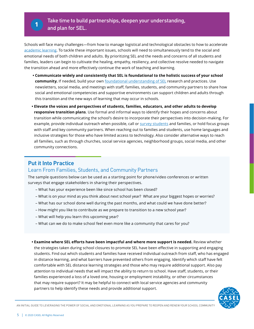

Schools will face many challenges—from how to manage logistical and technological obstacles to how to accelerate [academic learning](https://www.nwea.org/research/publication/the-covid-19-slide-what-summer-learning-loss-can-tell-us-about-the-potential-impact-of-school-closures-on-student-academic-achievement/). To tackle these important issues, schools will need to simultaneously tend to the social and emotional needs of both children and adults. By prioritizing SEL and the needs and concerns of all students and families, leaders can begin to cultivate the healing, empathy, resiliency, and collective resolve needed to navigate the transition ahead and more effectively continue the work of teaching and learning.

- **Communicate widely and consistently that SEL is foundational to the holistic success of your school community.** If needed, build your own [foundational understanding of SEL](https://schoolguide.casel.org/resource/the-case-for-sel/) research and practices. Use newsletters, social media, and meetings with staff, families, students, and community partners to share how social and emotional competencies and supportive environments can support children and adults through this transition and the new ways of learning that may occur in schools.
- **Elevate the voices and perspectives of students, families, educators, and other adults to develop responsive transition plans**. Use formal and informal ways to identify their hopes and concerns about transition while communicating the school's desire to incorporate their perspectives into decision-making. For example, provide individual outreach when possible, call or [survey students](https://pdkintl.org/COVID19-Resources/) and families, or hold focus groups with staff and key community partners. When reaching out to families and students, use home languages and inclusive strategies for those who have limited access to technology. Also consider alternative ways to reach all families, such as through churches, social service agencies, neighborhood groups, social media, and other community connections.

## **Put it Into Practice**

## Learn From Families, Students, and Community Partners

The sample questions below can be used as a starting point for phone/video conferences or written surveys that engage stakeholders in sharing their perspectives.

- What has your experience been like since school has been closed?
- What is on your mind as you think about next school year? What are your biggest hopes or worries?
- What has our school done well during the past months, and what could we have done better?
- How might you like to contribute as we prepare to transition to a new school year?
- What will help you learn this upcoming year?
- What can we do to make school feel even more like a community that cares for you?

**• Examine where SEL efforts have been impactful and where more support is needed.** Review whether the strategies taken during school closures to promote SEL have been effective in supporting and engaging students. Find out which students and families have received individual outreach from staff, who has engaged in distance learning, and what barriers have prevented others from engaging. Identify which staff have felt comfortable with SEL distance learning strategies and those who may require additional support. Also pay attention to individual needs that will impact the ability to return to school. Have staff, students, or their families experienced a loss of a loved one, housing or employment instability, or other circumstances that may require support? It may be helpful to connect with local service agencies and community partners to help identify these needs and provide additional support.

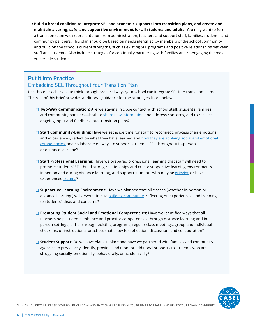**• Build a broad coalition to integrate SEL and academic supports into transition plans, and create and maintain a caring, safe, and supportive environment for all students and adults.** You may want to form a transition team with representation from administration, teachers and support staff, families, students, and community partners. This plan should be based on needs identified by members of the school community and build on the school's current strengths, such as existing SEL programs and positive relationships between staff and students. Also include strategies for continually partnering with families and re-engaging the most vulnerable students.

## **Put it Into Practice**

## Embedding SEL Throughout Your Transition Plan

Use this quick checklist to think through practical ways your school can integrate SEL into transition plans. The rest of this brief provides additional guidance for the strategies listed below.

- □ **Two-Way Communication:** Are we staying in close contact with school staff, students, families, and community partners—both to [share new information](https://www.edweek.org/ew/articles/2020/03/05/a-coronavirus-outreach-plan-5-steps-for.html) and address concerns, and to receive ongoing input and feedback into transition plans?
- □ Staff Community-Building: Have we set aside time for staff to reconnect, process their emotions and experiences, reflect on what they have learned and how they are applying social and emotional [competencies,](https://schoolguide.casel.org/focus-area-2/learn/reflecting-on-personal-sel-skills/) and collaborate on ways to support students' SEL throughout in-person or distance learning?
- **□ Staff Professional Learning:** Have we prepared professional learning that staff will need to promote students' SEL, build strong relationships and create supportive learning environments in person and during distance learning, and support students who may be [grieving](https://www.schoolcrisiscenter.org/resources/teacher-training-modules/) or have experienced [trauma](https://www.transformingeducation.org/trauma-informed-sel-toolkit/)?
- **□ Supportive Learning Environment:** Have we planned that all classes (whether in-person or distance learning ) will devote time to [building community](https://schoolguide.casel.org/focus-area-3/classroom/a-supportive-classroom-environment/), reflecting on experiences, and listening to students' ideas and concerns?
- $\Box$  **Promoting Student Social and Emotional Competencies:** Have we identified ways that all teachers help students enhance and practice competencies through distance learning and inperson settings, either through existing programs, regular class meetings, group and individual check-ins, or instructional practices that allow for reflection, discussion, and collaboration?
- □ **Student Support:** Do we have plans in place and have we partnered with families and community agencies to proactively identify, provide, and monitor additional supports to students who are struggling socially, emotionally, behaviorally, or academically?

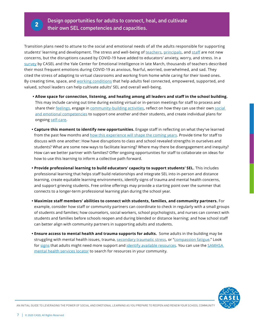Transition plans need to attune to the social and emotional needs of all the adults responsible for supporting students' learning and development. The stress and well-being of [teachers,](https://www.rwjf.org/en/library/research/2016/07/teacher-stress-and-health.html) [principals](https://journals.sagepub.com/doi/10.1177/1741143218817562), and [staff](https://journals.sagepub.com/doi/abs/10.1177/2156759X18782468?journalCode=pcxa) are not new concerns, but the disruptions caused by COVID-19 have added to educators' anxiety, worry, and stress. In a [survey](https://www.edsurge.com/news/2020-04-07-teachers-are-anxious-and-overwhelmed-they-need-sel-now-more-than-ever) by CASEL and the Yale Center for Emotional Intelligence in late March, thousands of teachers described their most frequent emotions during COVID-19 as anxious, fearful, worried, overwhelmed, and sad. They cited the stress of adapting to virtual classrooms and working from home while caring for their loved ones. By creating time, space, and [working conditions](https://gtlcenter.org/technical-assistance/professional-learning-modules/understanding-teaching-conditions) that help adults feel connected, empowered, supported, and valued, school leaders can help cultivate adults' SEL and overall well-being.

- **Allow space for connection, listening, and healing among all leaders and staff in the school building.** This may include carving out time during existing virtual or in-person meetings for staff to process and share their [feelings,](https://elemental.medium.com/how-to-regulate-your-stir-crazy-emotions-de432d6410ad) engage in [community-building activities](https://drc.casel.org/blog/resource/sel-3-signature-practices-playbook-2/), reflect on how they can use their own [social](https://www.apa.org/topics/resilience)  [and emotional competencies](https://www.apa.org/topics/resilience) to support one another and their students, and create individual plans for ongoing [self-care](http://www.ascd.org/ascd-express/vol15/num13/5-strategies-for-teacher-self-care.aspx).
- **Capture this moment to identify new opportunities.** Engage staff in reflecting on what they've learned from the past few months and [how this experience will shape the coming years](https://www.weforum.org/agenda/2020/03/4-ways-covid-19-education-future-generations/). Provide time for staff to discuss with one another: How have disruptions to class and school revealed strengths in ourselves and students? What are some new ways to facilitate learning? Where may there be disengagement and inequity? How can we better partner with families? Offer ongoing opportunities for staff to collaborate on ideas for how to use this learning to inform a collective path forward.
- **Provide professional learning to build educators' capacity to support students' SEL.** This includes professional learning that helps staff build relationships and integrate SEL into in-person and distance learning, create equitable learning environments, identify signs of trauma and mental health concerns, and support grieving students. Free online offerings may provide a starting point over the summer that connects to a longer-term professional learning plan during the school year.
- **Maximize staff members' abilities to connect with students, families, and community partners.** For example, consider how staff or community partners can coordinate to check in regularly with a small groups of students and families; how counselors, social workers, school psychologists, and nurses can connect with students and families before schools reopen and during blended or distance learning; and how school staff can better align with community partners in supporting adults and students.
- **Ensure access to mental health and trauma supports for adults.** Some adults in the building may be struggling with mental health issues, trauma, [secondary traumatic stress](https://safesupportivelearning.ed.gov/sites/default/files/TSS_Building_Handout_2secondary_trauma.pdf), or ["compassion fatigue](https://www.edutopia.org/article/when-students-are-traumatized-teachers-are-too)." Look for [signs](https://www.mentalhealth.gov/) that adults might need more support and [identify available resources.](https://www.nami.org/getattachment/About-NAMI/NAMI-News/2020/NAMI-Updates-on-the-Coronavirus/COVID-19-Updated-Guide-1.pdf?lang=en-US) You can use the SAMHSA [mental health services locator](https://findtreatment.samhsa.gov/) to search for resources in your community.

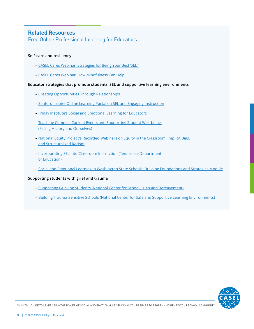## **Related Resources**

## Free Online Professional Learning for Educators

#### **Self-care and resiliency**

- [CASEL Cares Webinar: Strategies for Being Your Best](https://www.youtube.com/watch?v=8UE2mWPPj0k&t=) 'SEL'f
- – [CASEL Cares Webinar: How Mindfulness Can Help](https://www.youtube.com/watch?v=m5nXdoilVmI&feature=youtu.be)

#### **Educator strategies that promote students' SEL and supportive learning environments**

- [Creating Opportunities Through Relationships](http://www.corclassrooms.org)
- [Sanford Inspire Online Learning Portal on SEL and Engaging Instruction](https://online.sanfordprograms.org)
- [Friday Institute's Social and Emotional Learning for Educators](https://place.fi.ncsu.edu/local/catalog/course.php?id=20)
- [Teaching Complex Current Events and Supporting Student Well-being](https://event.on24.com/eventRegistration/EventLobbyServlet?target=reg30.jsp&referrer=&eventid=2224122&sessionid=1&key=9798B3AC2E5CDA086F3BA7435645DF46®Tag=&sourcepage=register) [\(Facing History and Ourselves\)](https://place.fi.ncsu.edu/local/catalog/course.php?id=20)
- [National Equity Project's Recorded Webinars on Equity in the Classroom, Implicit Bias,](https://nationalequityproject.org/events/webinars) [and Structuralized Racism](https://nationalequityproject.org/events/webinars)
- [Incorporating SEL into Classroom Instruction \(Tennessee Department](https://www.tn.gov/education/health-and-safety/school-climate/social-and-personal-competencies.html) [of Education\)](https://www.tn.gov/education/health-and-safety/school-climate/social-and-personal-competencies.html)
- [Social and Emotional Learning in Washington State Schools: Building Foundations and Strategies Module](https://www.k12.wa.us/student-success/health-safety/mental-social-behavioral-health/social-and-emotional-learning-sel/sel-online-education-module)

#### **Supporting students with grief and trauma**

- [Supporting Grieving Students \(National Center for School Crisis and Bereavement\)](https://www.schoolcrisiscenter.org/resources/teacher-training-modules/)
- [Building Trauma-Sensitive Schools \(National Center for Safe and Supportive Learning Environments\)](https://safesupportivelearning.ed.gov/building-trauma-sensitive-schools)

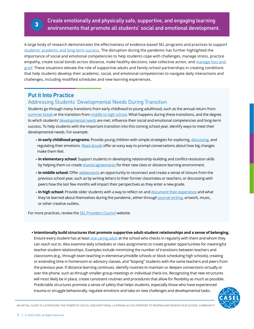Create emotionally and physically safe, supportive, and engaging learning environments that promote all students' social and emotional development.

A large body of research demonstrates the effectiveness of evidence-based SEL programs and practices to support [students' academic and long-term success](https://casel.org/impact/). The disruption during the pandemic has further highlighted the importance of social and emotional competencies to help students cope with challenges, manage stress, practice empathy, create social bonds across distance, make healthy decisions, take collective action, and manage loss and [grief](https://www.nasponline.org/resources-and-publications/resources-and-podcasts/school-climate-safety-and-crisis/mental-health-resources/addressing-grief/addressing-grief-tips-for-teachers-and-administrators). These situations elevate the role of supportive adults and family-school partnerships in creating conditions that help students develop their academic, social, and emotional competencies to navigate daily interactions and challenges, including modified schedules and new learning experiences.

## **Put it Into Practice**

## Addressing Students' Developmental Needs During Transition

Students go through many transitions from early childhood to young adulthood, such as the annual return from [summer break](https://www.ncbi.nlm.nih.gov/books/NBK552668/) or the transition from [middle to high school.](https://srcd.onlinelibrary.wiley.com/doi/abs/10.1111/1467-8624.00325) What happens during these transitions, and the degree to which students' [developmental needs](https://consortium.uchicago.edu/sites/default/files/2018-10/Foundations%20for%20Young%20Adult-Jun2015-Consortium.pdf) are met, influence their social and emotional competencies and long-term success. To help students with the important transition into this coming school year, identify ways to meet their developmental needs. For example:

- **In early childhood programs:** Provide young children with simple strategies for exploring, [discussing](http://feelingswheel.com/), and regulating their emotions. [Read alouds](https://www.morningsidecenter.org/teachable-moment/lessons/addressing-change-loss-grades-prek-2) offer an easy way to prompt conversations about how big changes make them feel.
- **In elementary school:** Support students in developing relationship-building and conflict-resolution skills by helping them co-create [shared agreements](https://schoolguide.casel.org/resource/sample-lesson-plan-generating-classroom-shared-agreements/) for their new class or distance learning environment.
- **In middle school:** Offer [adolescents](https://mk0all4edorgjxiy8xf9.kinstacdn.com/wp-content/uploads/2019/09/05-SAL-What-Educators-Need-to-Know-About-Adolescent-Development_FINAL.pdf) an opportunity to reconnect and create a sense of closure from the previous school year, such as by writing letters to their former classmates or teachers, or discussing with peers how the last few months will impact their perspectives as they enter a new grade.
- **In high school:** Provide older students with a way to reflect on and [document their experience](https://www.nytimes.com/2020/03/26/learning/what-students-are-saying-about-living-through-a-pandemic.html) and what they've learned about themselves during the pandemic, either through [journal writing,](https://www.facinghistory.org/educator-resources/current-events/student-journaling-during-coronavirus-pandemic?utm_campaign=COVID19&utm_source=hs_email&utm_medium=email&utm_content=87640325&_hsenc=p2ANqtz-_SVzfmcmlCy0BOXu0P2yrjnw7Ua_sDWu_Fuye-CY8ibYaiSj-VbMe7MJ4IfnQ0YDK4F2j-U4CYdyBdRgUdNNmNqRrH3w&_hsmi=87640325) artwork, music, or other creative outlets.

For more practices, review the [SEL Providers Council](https://selproviders.casel.org/sel-resources/) website.

**• Intentionally build structures that promote supportive adult-student relationships and a sense of belonging.**  Ensure every student has at least [one caring adult](https://mcc.gse.harvard.edu/resources-for-educators/relationship-mapping-strategy) at the school who checks in regularly with them and whom they can reach out to. Also examine daily schedules or class assignments to create greater opportunities for meaningful teacher-student relationships. Examples include minimizing the number of transitions between teachers and classrooms (e.g., through team teaching in elementary/middle schools or block scheduling high schools), creating or extending time in homeroom or advisory classes, and "looping" students with the same teachers and peers from the previous year. If distance learning continues, identify routines to maintain or deepen connections virtually or over the phone, such as through smaller group meetings or individual check-ins. Recognizing that new structures will most likely be in place, create consistent routines and procedures that allow for flexibility as much as possible. Predictable structures promote a sense of safety that helps students, especially those who have experienced trauma or struggle behaviorally, regulate emotions and take on new challenges and developmental tasks.

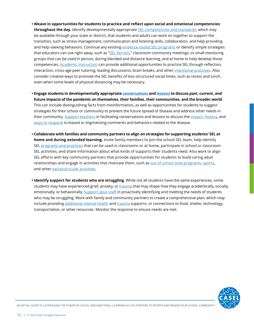- **Weave in opportunities for students to practice and reflect upon social and emotional competencies throughout the day.** Identify developmentally appropriate [SEL competencies and standards](https://casel.org/wp-content/uploads/2020/03/CSI-Frameworks.pdf), which may be available through your state or district, that students and adults can work on together to support the transition, such as stress-management, communication and listening skills, collaboration, and help-providing and help-seeking behaviors. Continue any existing [evidence-based SEL programs](https://casel.org/wp-content/uploads/2016/01/meta-analysis-child-development-1.pdf) or identify simple strategies that educators can use right away, such as "[SEL Kernels](https://ggie.berkeley.edu/student-well-being/sel-kernels/)," classroom community meetings, or small mentoring groups that can be used in person, during blended and distance learning, and at home to help develop those competencies. [Academic instruction](https://www.tandfonline.com/doi/full/10.1080/10888691.2018.1537791#aHR0cHM6Ly93d3cudGFuZGZvbmxpbmUuY29tL2RvaS9wZGYvMTAuMTA4MC8xMDg4ODY5MS4yMDE4LjE1Mzc3OTE/bmVlZEFjY2Vzcz10cnVlQEBAMA==) can provide additional opportunities to practice SEL through reflection, interaction, cross-age peer tutoring, leading discussions, brain breaks, and other [intentional practices](https://gtlcenter.org/sites/default/files/TeachingtheWholeChild.pdf). Also consider creative ways to promote the SEL benefits of less-structured social times, such as recess and lunch, even when some levels of physical distancing may be necessary.
- **Engage students in developmentally appropriate [conversations](https://www.morningsidecenter.org/teachable-moment/lessons/guidelines-talking-students-about-coronavirus) and [lessons](http://blogs.edweek.org/teachers/teaching_now/2020/03/teaching_about_coronavirus_3_lesson_plans_for_science_math_and_media_literacy.html) to discuss past, current, and future impacts of the pandemic on themselves, their families, their communities, and the broader world.** This can include distinguishing facts from misinformation, as well as opportunities for students to suggest strategies for their school or community to prevent the future spread of disease and address other needs in their community. [Support teachers](https://event.on24.com/eventRegistration/EventLobbyServlet?target=reg30.jsp&referrer=&eventid=2224122&sessionid=1&key=9798B3AC2E5CDA086F3BA7435645DF46®Tag=&sourcepage=register) in facilitating conversations and lessons to discuss the [impact,](https://www.adl.org/blog/the-coronavirus-surfaces-fear-stereotypes-and-scapegoating) [history,](https://www.tolerance.org/magazine/speaking-up-against-racism-around-the-new-coronavirus) and [ways to respond](https://www.morningsidecenter.org/teachable-moment/lessons/coronavirus-countering-biased-responses) to biased or stigmatizing comments and behaviors related to the disease.
- **Collaborate with families and community partners to align on strategies for supporting students' SEL at home and during extended learning.** Invite family members to join the school SEL team, help identify SEL [programs and practices](https://selproviders.casel.org/sel-resources/) that can be used in classrooms or at home, participate in school or classroom SEL activities, and share information about what kinds of supports their students need. Also work to align SEL efforts with key community partners that provide opportunities for students to build caring adult relationships and engage in activities that motivate them, such as [out-of school time programs](https://www.air.org/sites/default/files/downloads/report/Social-and-Emotional-Development-Afterschool-Programs.pdf), [sports,](https://www.aspenprojectplay.org/coronavirus-and-youth-sports) and other [extracurricular activities](http://www.ascd.org/publications/educational-leadership/sept02/vol60/num01/-Extracurricular-Activities-and-Student-Motivation.aspx).
- **Identify support for students who are struggling.** While not all students have the same experiences, some students may have experienced grief, anxiety, or [trauma](https://childmind.org/article/signs-trauma-children/) that may shape how they engage academically, socially, emotionally, or behaviorally. [Support your staff](https://safesupportivelearning.ed.gov/building-trauma-sensitive-schools) in proactively identifying and meeting the needs of students who may be struggling. Work with family and community partners to create a comprehensive plan, which may include providing [additional mental health](https://www.ncb.org.uk/sites/default/files/uploads/documents/Health_wellbeing_docs/ncb_framework_for_promoting_well-being_and_responding_to_mental_health_in_schools.pdf) and [trauma](https://www.nctsn.org) supports, or connections to food, shelter, technology, transportation, or other resources. Monitor the response to ensure needs are met.

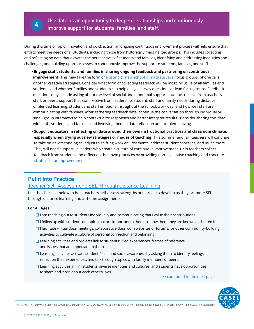

Use data as an opportunity to deepen relationships and continuously improve support for students, families, and staff.

During this time of rapid innovation and quick action, an ongoing continuous improvement process will help ensure that efforts meet the needs of all students, including those from historically marginalized groups. This includes collecting and reflecting on data that elevates the perspectives of students and families, identifying and addressing inequities and challenges, and building upon successes to continuously improve the support to students, families, and staff.

- **Engage staff, students, and families in sharing ongoing feedback and partnering on continuous improvement.** This may take the form of [existing](https://safesupportivelearning.ed.gov/topic-research/school-climate-measurement/school-climate-survey-compendium) or [new school climate surveys,](https://www.panoramaed.com/distance-learning-surveys) focus groups, phone calls, or other creative strategies. Consider what form of collecting feedback will be most inclusive of all families and students, and whether families and students can help design survey questions or lead focus groups. Feedback questions may include asking about the level of social and emotional support students receive from teachers, staff, or peers; support that staff receive from leadership; student, staff and family needs during distance or blended learning; student and staff emotions throughout the school/work day; and how well staff are communicating with families. After gathering feedback data, continue the conversation through individual or small-group interviews to help contextualize responses and better interpret results. Consider sharing this data with staff, students, and families and involving them in data reflection and problem-solving.
- **Support educators in reflecting on data around their own instructional practices and classroom climate, especially when trying out new strategies or modes of teaching.** This summer and fall, teachers will continue to take on new technologies, adjust to shifting work environments, address student concerns, and much more. They will need supportive leaders who create a culture of continuous improvement. Help teachers collect feedback from students and reflect on their own practices by providing non-evaluative coaching and concrete [strategies for improvement](https://www.edsurge.com/news/2020-05-06-how-can-educators-tap-into-research-to-increase-engagement-during-remote-learning).

## **Put it Into Practice**

#### [Teacher Self-Assessment: SEL Through Distance Learning](https://schoolguide.casel.org/resource/sel-through-distance-learning-teacher-self-assessment/)

Use the checklist below to help teachers self-assess strengths and areas to develop as they promote SEL through distance learning and at-home assignments.

#### **For All Ages**

- $\Box$  I am reaching out to students individually and communicating that I value their contributions.
- $\Box$  I follow up with students on topics that are important to them to show them they are known and cared for.
- $\square$  I facilitate virtual class meetings, collaborative classroom websites or forums, or other community-building activities to cultivate a culture of personal connection and belonging.
- $\Box$  Learning activities and projects link to students' lived experiences, frames of reference, and issues that are important to them.
- $\Box$  Learning activities activate students' self- and social awareness by asking them to identify feelings, reflect on their experiences, and talk through topics with family members or peers.
- $\Box$  Learning activities affirm students' diverse identities and cultures, and students have opportunities to share and learn about each other's lives.

>> continued to the next page

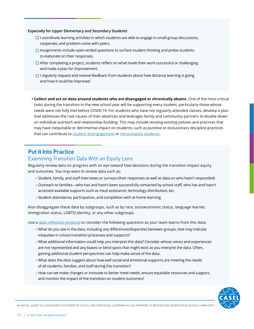#### **Especially for Upper Elementary and Secondary Students**

- $\Box$  I coordinate learning activities in which students are able to engage in small-group discussions, cooperate, and problem-solve with peers.
- $\Box$  Assignments include open-ended questions to surface student thinking and probe students to elaborate on their responses.
- $\Box$  After completing a project, students reflect on what made their work successful or challenging and make a plan for improvement.
- $\Box$  I regularly request and receive feedback from students about how distance learning is going and how it could be improved.
- **Collect and act on data around students who are disengaged or chronically absent.** One of the most critical tasks during the transition to the new school year will be supporting every student, particularly those whose needs were not fully met before COVID-19. For students who have not regularly attended classes, develop a plan that addresses the root causes of their absences and leverages family and community partners to double-down on individual outreach and relationship-building. This may include revising existing policies and practices that may have inequitable or detrimental impact on students, such as punitive or exclusionary discipline practices that can contribute to [student disengagement](https://www.americaspromise.org/opinion/link-between-suspensions-expulsions-and-dropout-rates) or [retraumatize students](https://www.tolerance.org/magazine/summer-2019/when-schools-cause-trauma).

## **Put it Into Practice**

#### Examining Transition Data With an Equity Lens

Regularly review data on progress with an eye toward how decisions during the transition impact equity and outcomes. You may want to review data such as:

- Student, family, and staff interviews or surveys (their responses as well as data on who hasn't responded)
- Outreach to families—who has and hasn't been successfully contacted by school staff, who has and hasn't accessed available supports such as meal assistance, technology distribution, etc.
- Student attendance, participation, and completion with at-home learning

Also disaggregate these data by subgroups, such as by race, socioeconomic status, language learner, immigration status, LGBTQ identity, or any other subgroups.

Use a [data reflection protocol](https://schoolguide.casel.org/resource/sel-data-reflection-protocol/) or consider the following questions as your team learns from this data:

- What do you see in the data, including any differences/disparities between groups, that may indicate inequities in school transition processes and supports?
- What additional information could help you interpret this data? Consider whose voices and experiences are not represented and any biases or blind spots that might exist as you interpret the data. Often, gaining additional student perspectives can help make sense of the data.
- What does the data suggest about how well social and emotional supports are meeting the needs of all students, families, and staff during this transition?
- How can we make changes or innovate to better meet needs, ensure equitable resources and support, and monitor the impact of the transition on student outcomes?